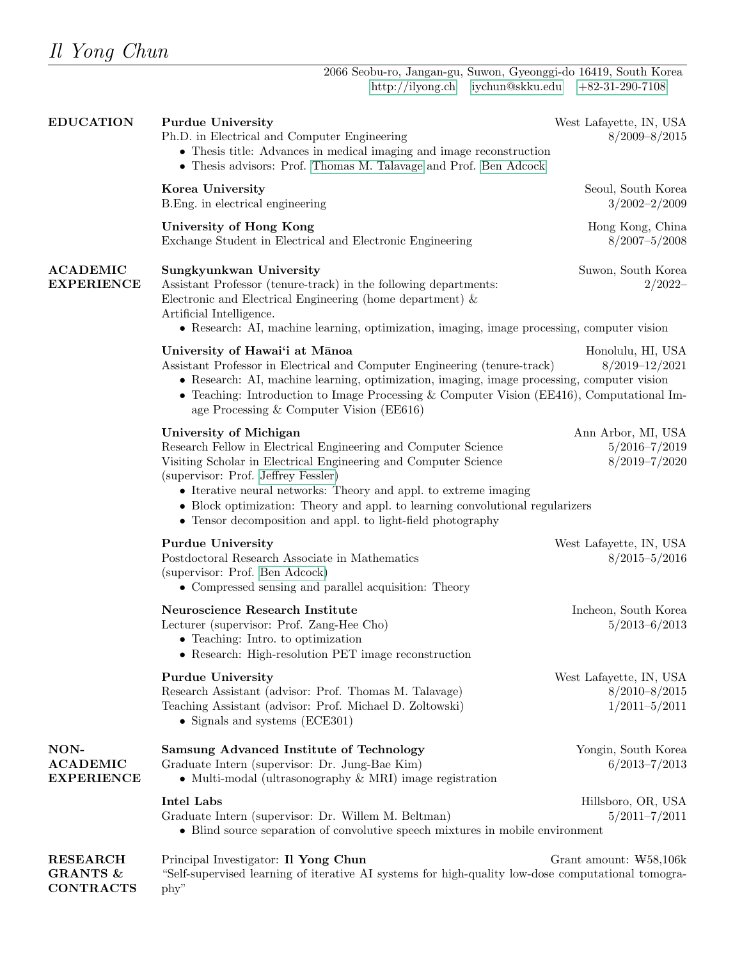CONTRACTS

phy"

| <b>EDUCATION</b>                             | <b>Purdue University</b><br>Ph.D. in Electrical and Computer Engineering<br>• Thesis title: Advances in medical imaging and image reconstruction<br>• Thesis advisors: Prof. Thomas M. Talavage and Prof. Ben Adcock                                                                                                                                                                                                   | West Lafayette, IN, USA<br>$8/2009 - 8/2015$                      |
|----------------------------------------------|------------------------------------------------------------------------------------------------------------------------------------------------------------------------------------------------------------------------------------------------------------------------------------------------------------------------------------------------------------------------------------------------------------------------|-------------------------------------------------------------------|
|                                              | Korea University<br>B. Eng. in electrical engineering                                                                                                                                                                                                                                                                                                                                                                  | Seoul, South Korea<br>$3/2002 - 2/2009$                           |
|                                              | University of Hong Kong<br>Exchange Student in Electrical and Electronic Engineering                                                                                                                                                                                                                                                                                                                                   | Hong Kong, China<br>$8/2007 - 5/2008$                             |
| <b>ACADEMIC</b><br><b>EXPERIENCE</b>         | Sungkyunkwan University<br>Assistant Professor (tenure-track) in the following departments:<br>Electronic and Electrical Engineering (home department) $\&$<br>Artificial Intelligence.<br>• Research: AI, machine learning, optimization, imaging, image processing, computer vision                                                                                                                                  | Suwon, South Korea<br>$2/2022-$                                   |
|                                              | University of Hawai'i at Mānoa<br>Assistant Professor in Electrical and Computer Engineering (tenure-track)<br>• Research: AI, machine learning, optimization, imaging, image processing, computer vision<br>• Teaching: Introduction to Image Processing & Computer Vision (EE416), Computational Im-<br>age Processing $& Computer Vision (EE616)$                                                                   | Honolulu, HI, USA<br>$8/2019 - 12/2021$                           |
|                                              | University of Michigan<br>Research Fellow in Electrical Engineering and Computer Science<br>Visiting Scholar in Electrical Engineering and Computer Science<br>(supervisor: Prof. Jeffrey Fessler)<br>• Iterative neural networks: Theory and appl. to extreme imaging<br>• Block optimization: Theory and appl. to learning convolutional regularizers<br>• Tensor decomposition and appl. to light-field photography | Ann Arbor, MI, USA<br>$5/2016 - 7/2019$<br>$8/2019 - 7/2020$      |
|                                              | <b>Purdue University</b><br>Postdoctoral Research Associate in Mathematics<br>(supervisor: Prof. Ben Adcock)<br>• Compressed sensing and parallel acquisition: Theory                                                                                                                                                                                                                                                  | West Lafayette, IN, USA<br>$8/2015 - 5/2016$                      |
|                                              | Neuroscience Research Institute<br>Lecturer (supervisor: Prof. Zang-Hee Cho)<br>• Teaching: Intro. to optimization<br>• Research: High-resolution PET image reconstruction                                                                                                                                                                                                                                             | Incheon, South Korea<br>$5/2013 - 6/2013$                         |
|                                              | <b>Purdue University</b><br>Research Assistant (advisor: Prof. Thomas M. Talavage)<br>Teaching Assistant (advisor: Prof. Michael D. Zoltowski)<br>• Signals and systems (ECE301)                                                                                                                                                                                                                                       | West Lafayette, IN, USA<br>$8/2010 - 8/2015$<br>$1/2011 - 5/2011$ |
| NON-<br><b>ACADEMIC</b><br><b>EXPERIENCE</b> | Samsung Advanced Institute of Technology<br>Graduate Intern (supervisor: Dr. Jung-Bae Kim)<br>• Multi-modal (ultrasonography $\&$ MRI) image registration                                                                                                                                                                                                                                                              | Yongin, South Korea<br>$6/2013 - 7/2013$                          |
|                                              | <b>Intel Labs</b><br>Graduate Intern (supervisor: Dr. Willem M. Beltman)<br>• Blind source separation of convolutive speech mixtures in mobile environment                                                                                                                                                                                                                                                             | Hillsboro, OR, USA<br>$5/2011 - 7/2011$                           |
| <b>RESEARCH</b><br><b>GRANTS &amp;</b>       | Principal Investigator: Il Yong Chun<br>"Self-supervised learning of iterative AI systems for high-quality low-dose computational tomogra-                                                                                                                                                                                                                                                                             | Grant amount: $W58,106k$                                          |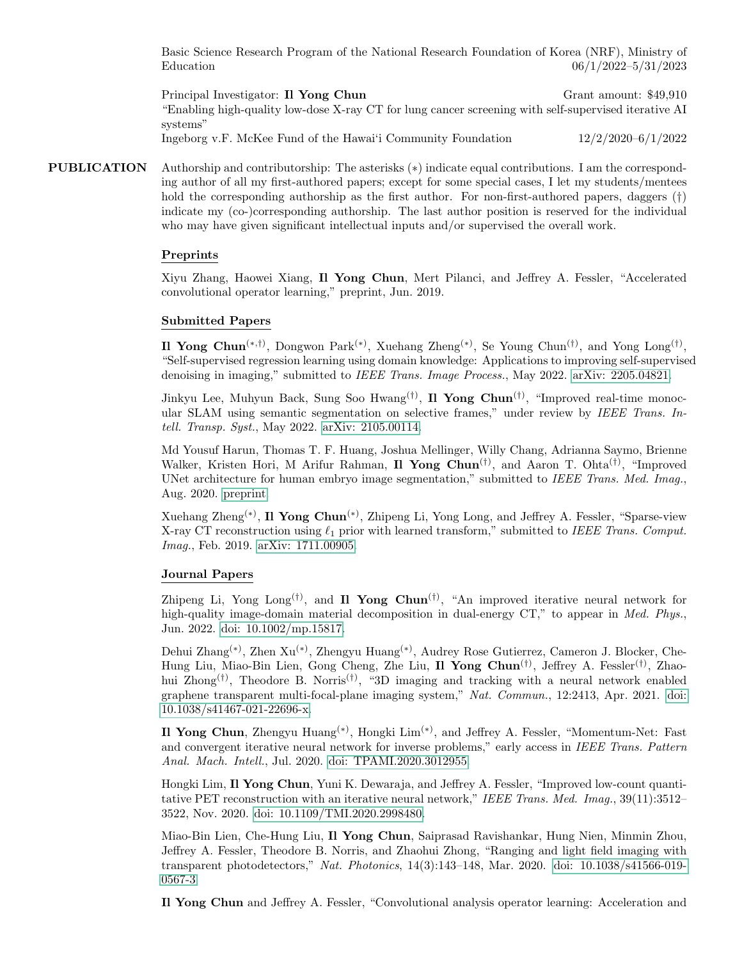Basic Science Research Program of the National Research Foundation of Korea (NRF), Ministry of Education 06/1/2022–5/31/2023

Principal Investigator: Il Yong Chun Grant amount: \$49,910 "Enabling high-quality low-dose X-ray CT for lung cancer screening with self-supervised iterative AI systems" Ingeborg v.F. McKee Fund of the Hawai'i Community Foundation 12/2/2020–6/1/2022

PUBLICATION Authorship and contributorship: The asterisks (\*) indicate equal contributions. I am the corresponding author of all my first-authored papers; except for some special cases, I let my students/mentees hold the corresponding authorship as the first author. For non-first-authored papers, daggers (†) indicate my (co-)corresponding authorship. The last author position is reserved for the individual who may have given significant intellectual inputs and/or supervised the overall work.

#### Preprints

Xiyu Zhang, Haowei Xiang, Il Yong Chun, Mert Pilanci, and Jeffrey A. Fessler, "Accelerated convolutional operator learning," preprint, Jun. 2019.

### Submitted Papers

Il Yong Chun<sup>(\*,†)</sup>, Dongwon Park<sup>(\*)</sup>, Xuehang Zheng<sup>(\*)</sup>, Se Young Chun<sup>(†)</sup>, and Yong Long<sup>(†)</sup>, "Self-supervised regression learning using domain knowledge: Applications to improving self-supervised denoising in imaging," submitted to IEEE Trans. Image Process., May 2022. [arXiv: 2205.04821.](https://arxiv.org/abs/2205.04821)

Jinkyu Lee, Muhyun Back, Sung Soo Hwang<sup>(†)</sup>, Il Yong Chun<sup>(†)</sup>, "Improved real-time monocular SLAM using semantic segmentation on selective frames," under review by IEEE Trans. Intell. Transp. Syst., May 2022. [arXiv: 2105.00114.](https://arxiv.org/abs/2105.00114)

Md Yousuf Harun, Thomas T. F. Huang, Joshua Mellinger, Willy Chang, Adrianna Saymo, Brienne Walker, Kristen Hori, M Arifur Rahman, Il Yong Chun<sup>(†)</sup>, and Aaron T. Ohta<sup>(†)</sup>, "Improved UNet architecture for human embryo image segmentation," submitted to IEEE Trans. Med. Imag., Aug. 2020. [preprint.](https://www.dropbox.com/s/724uma1uax3kd9w/TMI_embryo%20segmentation.pdf?dl=0)

Xuehang Zheng<sup>(\*)</sup>, Il Yong Chun<sup>(\*)</sup>, Zhipeng Li, Yong Long, and Jeffrey A. Fessler, "Sparse-view X-ray CT reconstruction using  $\ell_1$  prior with learned transform," submitted to IEEE Trans. Comput. Imag., Feb. 2019. [arXiv: 1711.00905.](http://arxiv.org/abs/1711.00905)

#### Journal Papers

Zhipeng Li, Yong Long<sup>(†)</sup>, and **Il Yong Chun**<sup>(†)</sup>, "An improved iterative neural network for high-quality image-domain material decomposition in dual-energy CT," to appear in *Med. Phys.*, Jun. 2022. [doi: 10.1002/mp.15817.](https://doi.org/10.1002/mp.15817)

Dehui Zhang(∗) , Zhen Xu(∗) , Zhengyu Huang(∗) , Audrey Rose Gutierrez, Cameron J. Blocker, Che-Hung Liu, Miao-Bin Lien, Gong Cheng, Zhe Liu, Il Yong Chun<sup>(†)</sup>, Jeffrey A. Fessler<sup>(†)</sup>, Zhaohui Zhong<sup>(†)</sup>, Theodore B. Norris<sup>(†)</sup>, "3D imaging and tracking with a neural network enabled graphene transparent multi-focal-plane imaging system," Nat. Commun., 12:2413, Apr. 2021. [doi:](https://doi.org/10.1038/s41467-021-22696-x) [10.1038/s41467-021-22696-x.](https://doi.org/10.1038/s41467-021-22696-x)

Il Yong Chun, Zhengyu Huang<sup>(\*)</sup>, Hongki Lim<sup>(\*)</sup>, and Jeffrey A. Fessler, "Momentum-Net: Fast and convergent iterative neural network for inverse problems," early access in IEEE Trans. Pattern Anal. Mach. Intell., Jul. 2020. [doi: TPAMI.2020.3012955.](https://doi.org/10.1109/TPAMI.2020.3012955)

Hongki Lim, Il Yong Chun, Yuni K. Dewaraja, and Jeffrey A. Fessler, "Improved low-count quantitative PET reconstruction with an iterative neural network," IEEE Trans. Med. Imag., 39(11):3512-3522, Nov. 2020. [doi: 10.1109/TMI.2020.2998480.](https://doi.org/10.1109/TMI.2020.2998480)

Miao-Bin Lien, Che-Hung Liu, Il Yong Chun, Saiprasad Ravishankar, Hung Nien, Minmin Zhou, Jeffrey A. Fessler, Theodore B. Norris, and Zhaohui Zhong, "Ranging and light field imaging with transparent photodetectors," Nat. Photonics, 14(3):143–148, Mar. 2020. [doi: 10.1038/s41566-019-](https://doi.org/10.1038/s41566-019-0567-3) [0567-3.](https://doi.org/10.1038/s41566-019-0567-3)

Il Yong Chun and Jeffrey A. Fessler, "Convolutional analysis operator learning: Acceleration and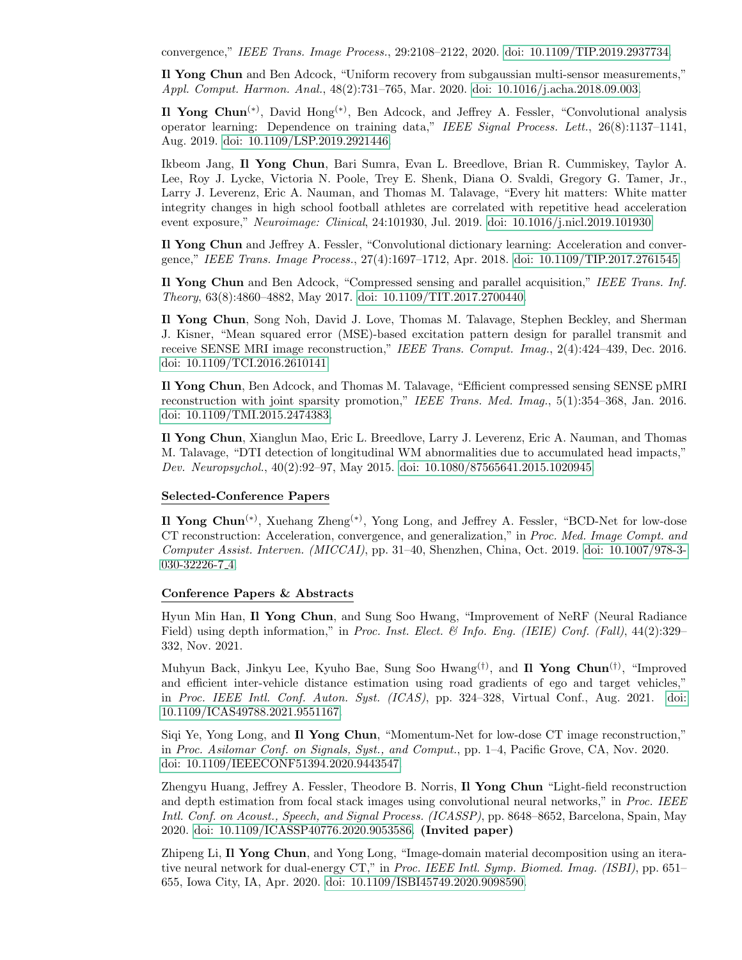convergence," IEEE Trans. Image Process., 29:2108–2122, 2020. [doi: 10.1109/TIP.2019.2937734.](https://doi.org/10.1109/TIP.2019.2937734)

Il Yong Chun and Ben Adcock, "Uniform recovery from subgaussian multi-sensor measurements," Appl. Comput. Harmon. Anal., 48(2):731–765, Mar. 2020. [doi: 10.1016/j.acha.2018.09.003.](https://doi.org/10.1016/j.acha.2018.09.003)

Il Yong Chun(∗) , David Hong(∗) , Ben Adcock, and Jeffrey A. Fessler, "Convolutional analysis operator learning: Dependence on training data," IEEE Signal Process. Lett., 26(8):1137–1141, Aug. 2019. [doi: 10.1109/LSP.2019.2921446.](https://doi.org/10.1109/LSP.2019.2921446)

Ikbeom Jang, Il Yong Chun, Bari Sumra, Evan L. Breedlove, Brian R. Cummiskey, Taylor A. Lee, Roy J. Lycke, Victoria N. Poole, Trey E. Shenk, Diana O. Svaldi, Gregory G. Tamer, Jr., Larry J. Leverenz, Eric A. Nauman, and Thomas M. Talavage, "Every hit matters: White matter integrity changes in high school football athletes are correlated with repetitive head acceleration event exposure," Neuroimage: Clinical, 24:101930, Jul. 2019. [doi: 10.1016/j.nicl.2019.101930.](https://doi.org/10.1016/j.nicl.2019.101930)

Il Yong Chun and Jeffrey A. Fessler, "Convolutional dictionary learning: Acceleration and convergence," IEEE Trans. Image Process., 27(4):1697–1712, Apr. 2018. [doi: 10.1109/TIP.2017.2761545.](https://doi.org/10.1109/TIP.2017.2761545)

Il Yong Chun and Ben Adcock, "Compressed sensing and parallel acquisition," IEEE Trans. Inf. Theory, 63(8):4860–4882, May 2017. [doi: 10.1109/TIT.2017.2700440.](https://doi.org/10.1109/TIT.2017.2700440)

Il Yong Chun, Song Noh, David J. Love, Thomas M. Talavage, Stephen Beckley, and Sherman J. Kisner, "Mean squared error (MSE)-based excitation pattern design for parallel transmit and receive SENSE MRI image reconstruction," IEEE Trans. Comput. Imag., 2(4):424–439, Dec. 2016. [doi: 10.1109/TCI.2016.2610141.](https://doi.org/10.1109/TCI.2016.2610141)

Il Yong Chun, Ben Adcock, and Thomas M. Talavage, "Efficient compressed sensing SENSE pMRI reconstruction with joint sparsity promotion," IEEE Trans. Med. Imag., 5(1):354–368, Jan. 2016. [doi: 10.1109/TMI.2015.2474383.](https://doi.org/10.1109/TMI.2015.2474383)

Il Yong Chun, Xianglun Mao, Eric L. Breedlove, Larry J. Leverenz, Eric A. Nauman, and Thomas M. Talavage, "DTI detection of longitudinal WM abnormalities due to accumulated head impacts," Dev. Neuropsychol., 40(2):92–97, May 2015. [doi: 10.1080/87565641.2015.1020945.](https://doi.org/10.1080/87565641.2015.1020945)

#### Selected-Conference Papers

Il Yong Chun(∗) , Xuehang Zheng(∗) , Yong Long, and Jeffrey A. Fessler, "BCD-Net for low-dose CT reconstruction: Acceleration, convergence, and generalization," in Proc. Med. Image Compt. and Computer Assist. Interven. (MICCAI), pp. 31–40, Shenzhen, China, Oct. 2019. [doi: 10.1007/978-3-](https://doi.org/10.1007/978-3-030-32226-7_4) [030-32226-7](https://doi.org/10.1007/978-3-030-32226-7_4) 4.

#### Conference Papers & Abstracts

Hyun Min Han, Il Yong Chun, and Sung Soo Hwang, "Improvement of NeRF (Neural Radiance Field) using depth information," in Proc. Inst. Elect. & Info. Eng. (IEIE) Conf. (Fall), 44(2):329– 332, Nov. 2021.

Muhyun Back, Jinkyu Lee, Kyuho Bae, Sung Soo Hwang<sup>(†)</sup>, and Il Yong Chun<sup>(†)</sup>, "Improved and efficient inter-vehicle distance estimation using road gradients of ego and target vehicles," in Proc. IEEE Intl. Conf. Auton. Syst. (ICAS), pp. 324–328, Virtual Conf., Aug. 2021. [doi:](https://doi.org/10.1109/ICAS49788.2021.9551167) [10.1109/ICAS49788.2021.9551167.](https://doi.org/10.1109/ICAS49788.2021.9551167)

Siqi Ye, Yong Long, and Il Yong Chun, "Momentum-Net for low-dose CT image reconstruction," in Proc. Asilomar Conf. on Signals, Syst., and Comput., pp. 1–4, Pacific Grove, CA, Nov. 2020. [doi: 10.1109/IEEECONF51394.2020.9443547.](https://doi.org/10.1109/IEEECONF51394.2020.9443547)

Zhengyu Huang, Jeffrey A. Fessler, Theodore B. Norris, Il Yong Chun "Light-field reconstruction and depth estimation from focal stack images using convolutional neural networks," in Proc. IEEE Intl. Conf. on Acoust., Speech, and Signal Process. (ICASSP), pp. 8648–8652, Barcelona, Spain, May 2020. [doi: 10.1109/ICASSP40776.2020.9053586.](https://doi.org/10.1109/ICASSP40776.2020.9053586) (Invited paper)

Zhipeng Li, Il Yong Chun, and Yong Long, "Image-domain material decomposition using an iterative neural network for dual-energy CT," in Proc. IEEE Intl. Symp. Biomed. Imag. (ISBI), pp. 651– 655, Iowa City, IA, Apr. 2020. [doi: 10.1109/ISBI45749.2020.9098590.](https://doi.org/10.1109/ISBI45749.2020.9098590)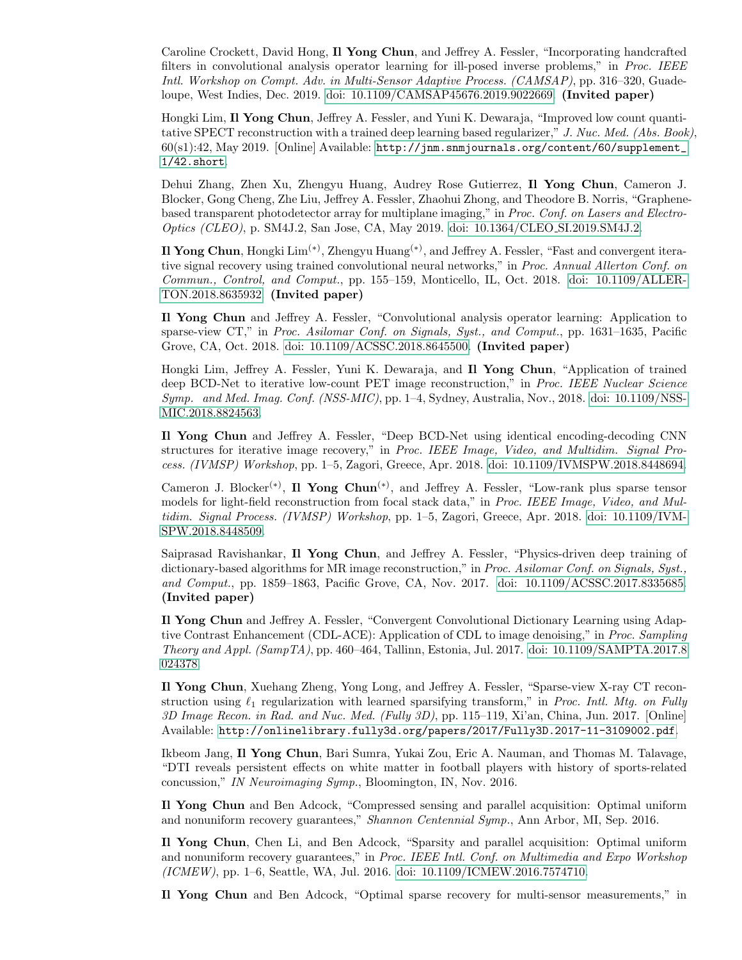Caroline Crockett, David Hong, Il Yong Chun, and Jeffrey A. Fessler, "Incorporating handcrafted filters in convolutional analysis operator learning for ill-posed inverse problems," in Proc. IEEE Intl. Workshop on Compt. Adv. in Multi-Sensor Adaptive Process. (CAMSAP), pp. 316–320, Guadeloupe, West Indies, Dec. 2019. [doi: 10.1109/CAMSAP45676.2019.9022669.](https://doi.org/10.1109/CAMSAP45676.2019.9022669) (Invited paper)

Hongki Lim, Il Yong Chun, Jeffrey A. Fessler, and Yuni K. Dewaraja, "Improved low count quantitative SPECT reconstruction with a trained deep learning based regularizer," J. Nuc. Med. (Abs. Book), 60(s1):42, May 2019. [Online] Available: [http://jnm.snmjournals.org/content/60/supplement\\_](http://jnm.snmjournals.org/content/60/supplement_1/42.short) [1/42.short](http://jnm.snmjournals.org/content/60/supplement_1/42.short).

Dehui Zhang, Zhen Xu, Zhengyu Huang, Audrey Rose Gutierrez, Il Yong Chun, Cameron J. Blocker, Gong Cheng, Zhe Liu, Jeffrey A. Fessler, Zhaohui Zhong, and Theodore B. Norris, "Graphenebased transparent photodetector array for multiplane imaging," in Proc. Conf. on Lasers and Electro-Optics (CLEO), p. SM4J.2, San Jose, CA, May 2019. [doi: 10.1364/CLEO](https://doi.org/10.1364/CLEO_SI.2019.SM4J.2) SI.2019.SM4J.2.

Il Yong Chun, Hongki Lim<sup>(\*)</sup>, Zhengyu Huang<sup>(\*)</sup>, and Jeffrey A. Fessler, "Fast and convergent iterative signal recovery using trained convolutional neural networks," in Proc. Annual Allerton Conf. on Commun., Control, and Comput., pp. 155–159, Monticello, IL, Oct. 2018. [doi: 10.1109/ALLER-](https://doi.org/10.1109/ALLERTON.2018.8635932)[TON.2018.8635932.](https://doi.org/10.1109/ALLERTON.2018.8635932) (Invited paper)

Il Yong Chun and Jeffrey A. Fessler, "Convolutional analysis operator learning: Application to sparse-view CT," in Proc. Asilomar Conf. on Signals, Syst., and Comput., pp. 1631-1635, Pacific Grove, CA, Oct. 2018. [doi: 10.1109/ACSSC.2018.8645500.](https://doi.org/10.1109/ACSSC.2018.8645500) (Invited paper)

Hongki Lim, Jeffrey A. Fessler, Yuni K. Dewaraja, and Il Yong Chun, "Application of trained deep BCD-Net to iterative low-count PET image reconstruction," in Proc. IEEE Nuclear Science Symp. and Med. Imag. Conf. (NSS-MIC), pp. 1–4, Sydney, Australia, Nov., 2018. [doi: 10.1109/NSS-](https://doi.org/10.1109/NSSMIC.2018.8824563)[MIC.2018.8824563.](https://doi.org/10.1109/NSSMIC.2018.8824563)

Il Yong Chun and Jeffrey A. Fessler, "Deep BCD-Net using identical encoding-decoding CNN structures for iterative image recovery," in Proc. IEEE Image, Video, and Multidim. Signal Process. (IVMSP) Workshop, pp. 1–5, Zagori, Greece, Apr. 2018. [doi: 10.1109/IVMSPW.2018.8448694.](https://doi.org/10.1109/IVMSPW.2018.8448694)

Cameron J. Blocker<sup>(\*)</sup>, Il Yong Chun<sup>(\*)</sup>, and Jeffrey A. Fessler, "Low-rank plus sparse tensor models for light-field reconstruction from focal stack data," in Proc. IEEE Image, Video, and Multidim. Signal Process. (IVMSP) Workshop, pp. 1–5, Zagori, Greece, Apr. 2018. [doi: 10.1109/IVM-](https://doi.org/10.1109/IVMSPW.2018.8448509)[SPW.2018.8448509.](https://doi.org/10.1109/IVMSPW.2018.8448509)

Saiprasad Ravishankar, Il Yong Chun, and Jeffrey A. Fessler, "Physics-driven deep training of dictionary-based algorithms for MR image reconstruction," in Proc. Asilomar Conf. on Signals, Syst., and Comput., pp. 1859–1863, Pacific Grove, CA, Nov. 2017. [doi: 10.1109/ACSSC.2017.8335685.](https://doi.org/10.1109/ACSSC.2017.8335685) (Invited paper)

Il Yong Chun and Jeffrey A. Fessler, "Convergent Convolutional Dictionary Learning using Adaptive Contrast Enhancement (CDL-ACE): Application of CDL to image denoising," in Proc. Sampling Theory and Appl. (SampTA), pp. 460–464, Tallinn, Estonia, Jul. 2017. [doi: 10.1109/SAMPTA.2017.8](https://doi.org/10.1109/SAMPTA.2017.8024378) [024378.](https://doi.org/10.1109/SAMPTA.2017.8024378)

Il Yong Chun, Xuehang Zheng, Yong Long, and Jeffrey A. Fessler, "Sparse-view X-ray CT reconstruction using  $\ell_1$  regularization with learned sparsifying transform," in Proc. Intl. Mtg. on Fully 3D Image Recon. in Rad. and Nuc. Med. (Fully 3D), pp. 115–119, Xi'an, China, Jun. 2017. [Online] Available: <http://onlinelibrary.fully3d.org/papers/2017/Fully3D.2017-11-3109002.pdf>.

Ikbeom Jang, Il Yong Chun, Bari Sumra, Yukai Zou, Eric A. Nauman, and Thomas M. Talavage, "DTI reveals persistent effects on white matter in football players with history of sports-related concussion," IN Neuroimaging Symp., Bloomington, IN, Nov. 2016.

Il Yong Chun and Ben Adcock, "Compressed sensing and parallel acquisition: Optimal uniform and nonuniform recovery guarantees," Shannon Centennial Symp., Ann Arbor, MI, Sep. 2016.

Il Yong Chun, Chen Li, and Ben Adcock, "Sparsity and parallel acquisition: Optimal uniform and nonuniform recovery guarantees," in Proc. IEEE Intl. Conf. on Multimedia and Expo Workshop (ICMEW), pp. 1–6, Seattle, WA, Jul. 2016. [doi: 10.1109/ICMEW.2016.7574710.](https://doi.org/10.1109/ICMEW.2016.7574710)

Il Yong Chun and Ben Adcock, "Optimal sparse recovery for multi-sensor measurements," in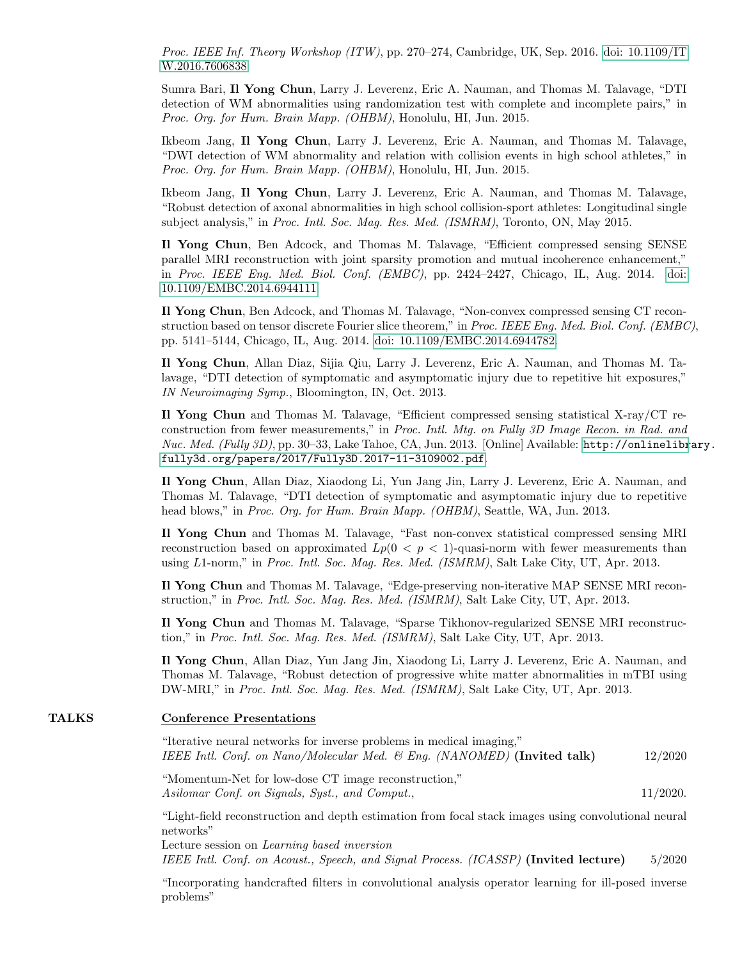Proc. IEEE Inf. Theory Workshop (ITW), pp. 270–274, Cambridge, UK, Sep. 2016. [doi: 10.1109/IT](https://doi.org/10.1109/ITW.2016.7606838) [W.2016.7606838.](https://doi.org/10.1109/ITW.2016.7606838)

Sumra Bari, Il Yong Chun, Larry J. Leverenz, Eric A. Nauman, and Thomas M. Talavage, "DTI detection of WM abnormalities using randomization test with complete and incomplete pairs," in Proc. Org. for Hum. Brain Mapp. (OHBM), Honolulu, HI, Jun. 2015.

Ikbeom Jang, Il Yong Chun, Larry J. Leverenz, Eric A. Nauman, and Thomas M. Talavage, "DWI detection of WM abnormality and relation with collision events in high school athletes," in Proc. Org. for Hum. Brain Mapp. (OHBM), Honolulu, HI, Jun. 2015.

Ikbeom Jang, Il Yong Chun, Larry J. Leverenz, Eric A. Nauman, and Thomas M. Talavage, "Robust detection of axonal abnormalities in high school collision-sport athletes: Longitudinal single subject analysis," in Proc. Intl. Soc. Mag. Res. Med. (ISMRM), Toronto, ON, May 2015.

Il Yong Chun, Ben Adcock, and Thomas M. Talavage, "Efficient compressed sensing SENSE parallel MRI reconstruction with joint sparsity promotion and mutual incoherence enhancement," in Proc. IEEE Eng. Med. Biol. Conf. (EMBC), pp. 2424–2427, Chicago, IL, Aug. 2014. [doi:](https://doi.org/10.1109/EMBC.2014.6944111) [10.1109/EMBC.2014.6944111.](https://doi.org/10.1109/EMBC.2014.6944111)

Il Yong Chun, Ben Adcock, and Thomas M. Talavage, "Non-convex compressed sensing CT reconstruction based on tensor discrete Fourier slice theorem," in Proc. IEEE Eng. Med. Biol. Conf. (EMBC), pp. 5141–5144, Chicago, IL, Aug. 2014. [doi: 10.1109/EMBC.2014.6944782.](https://doi.org/10.1109/EMBC.2014.6944782)

Il Yong Chun, Allan Diaz, Sijia Qiu, Larry J. Leverenz, Eric A. Nauman, and Thomas M. Talavage, "DTI detection of symptomatic and asymptomatic injury due to repetitive hit exposures," IN Neuroimaging Symp., Bloomington, IN, Oct. 2013.

Il Yong Chun and Thomas M. Talavage, "Efficient compressed sensing statistical X-ray/CT reconstruction from fewer measurements," in Proc. Intl. Mtg. on Fully 3D Image Recon. in Rad. and Nuc. Med. (Fully 3D), pp. 30–33, Lake Tahoe, CA, Jun. 2013. [Online] Available: [http://onlinelibr](http://onlinelibrary.fully3d.org/papers/2017/Fully3D.2017-11-3109002.pdf)ary. [fully3d.org/papers/2017/Fully3D.2017-11-3109002.pdf](http://onlinelibrary.fully3d.org/papers/2017/Fully3D.2017-11-3109002.pdf).

Il Yong Chun, Allan Diaz, Xiaodong Li, Yun Jang Jin, Larry J. Leverenz, Eric A. Nauman, and Thomas M. Talavage, "DTI detection of symptomatic and asymptomatic injury due to repetitive head blows," in *Proc. Org. for Hum. Brain Mapp. (OHBM)*, Seattle, WA, Jun. 2013.

Il Yong Chun and Thomas M. Talavage, "Fast non-convex statistical compressed sensing MRI reconstruction based on approximated  $Lp(0 < p < 1)$ -quasi-norm with fewer measurements than using L1-norm," in Proc. Intl. Soc. Mag. Res. Med. (ISMRM), Salt Lake City, UT, Apr. 2013.

Il Yong Chun and Thomas M. Talavage, "Edge-preserving non-iterative MAP SENSE MRI reconstruction," in Proc. Intl. Soc. Mag. Res. Med. (ISMRM), Salt Lake City, UT, Apr. 2013.

Il Yong Chun and Thomas M. Talavage, "Sparse Tikhonov-regularized SENSE MRI reconstruction," in Proc. Intl. Soc. Mag. Res. Med. (ISMRM), Salt Lake City, UT, Apr. 2013.

Il Yong Chun, Allan Diaz, Yun Jang Jin, Xiaodong Li, Larry J. Leverenz, Eric A. Nauman, and Thomas M. Talavage, "Robust detection of progressive white matter abnormalities in mTBI using DW-MRI," in Proc. Intl. Soc. Mag. Res. Med. (ISMRM), Salt Lake City, UT, Apr. 2013.

#### TALKS Conference Presentations

"Iterative neural networks for inverse problems in medical imaging," IEEE Intl. Conf. on Nano/Molecular Med. & Eng. (NANOMED) (Invited talk) 12/2020

"Momentum-Net for low-dose CT image reconstruction," Asilomar Conf. on Signals, Syst., and Comput., 11/2020.

"Light-field reconstruction and depth estimation from focal stack images using convolutional neural networks"

Lecture session on Learning based inversion IEEE Intl. Conf. on Acoust., Speech, and Signal Process. (ICASSP) (Invited lecture) 5/2020

"Incorporating handcrafted filters in convolutional analysis operator learning for ill-posed inverse problems"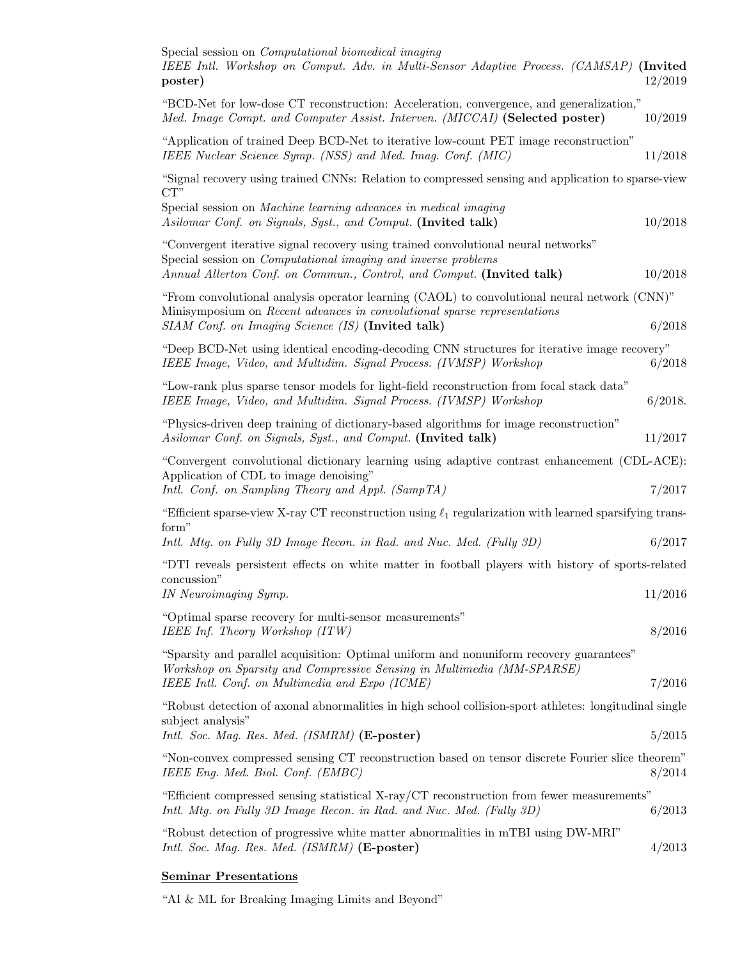| Special session on <i>Computational biomedical imaging</i><br>IEEE Intl. Workshop on Comput. Adv. in Multi-Sensor Adaptive Process. (CAMSAP) (Invited<br>poster)                                                                    | 12/2019 |  |
|-------------------------------------------------------------------------------------------------------------------------------------------------------------------------------------------------------------------------------------|---------|--|
| "BCD-Net for low-dose CT reconstruction: Acceleration, convergence, and generalization,"<br>Med. Image Compt. and Computer Assist. Interven. (MICCAI) (Selected poster)                                                             | 10/2019 |  |
| "Application of trained Deep BCD-Net to iterative low-count PET image reconstruction"<br>IEEE Nuclear Science Symp. (NSS) and Med. Imag. Conf. (MIC)                                                                                | 11/2018 |  |
| "Signal recovery using trained CNNs: Relation to compressed sensing and application to sparse-view<br>$CT$ "                                                                                                                        |         |  |
| Special session on Machine learning advances in medical imaging<br>Asilomar Conf. on Signals, Syst., and Comput. (Invited talk)                                                                                                     | 10/2018 |  |
| "Convergent iterative signal recovery using trained convolutional neural networks"<br>Special session on <i>Computational imaging and inverse problems</i><br>Annual Allerton Conf. on Commun., Control, and Comput. (Invited talk) | 10/2018 |  |
| "From convolutional analysis operator learning (CAOL) to convolutional neural network (CNN)"<br>Minisymposium on Recent advances in convolutional sparse representations<br>SIAM Conf. on Imaging Science (IS) (Invited talk)       | 6/2018  |  |
| "Deep BCD-Net using identical encoding-decoding CNN structures for iterative image recovery"<br>IEEE Image, Video, and Multidim. Signal Process. (IVMSP) Workshop                                                                   | 6/2018  |  |
| "Low-rank plus sparse tensor models for light-field reconstruction from focal stack data"<br>IEEE Image, Video, and Multidim. Signal Process. (IVMSP) Workshop                                                                      | 6/2018. |  |
| "Physics-driven deep training of dictionary-based algorithms for image reconstruction"<br>Asilomar Conf. on Signals, Syst., and Comput. (Invited talk)                                                                              | 11/2017 |  |
| "Convergent convolutional dictionary learning using adaptive contrast enhancement (CDL-ACE):<br>Application of CDL to image denoising"<br>Intl. Conf. on Sampling Theory and Appl. (SampTA)                                         | 7/2017  |  |
| "Efficient sparse-view X-ray CT reconstruction using $\ell_1$ regularization with learned sparsifying trans-<br>form"                                                                                                               |         |  |
| Intl. Mtg. on Fully 3D Image Recon. in Rad. and Nuc. Med. (Fully 3D)                                                                                                                                                                | 6/2017  |  |
| "DTI reveals persistent effects on white matter in football players with history of sports-related<br>concussion"<br>IN Neuroimaging Symp.                                                                                          | 11/2016 |  |
|                                                                                                                                                                                                                                     |         |  |
| "Optimal sparse recovery for multi-sensor measurements"<br>IEEE Inf. Theory Workshop (ITW)                                                                                                                                          | 8/2016  |  |
| "Sparsity and parallel acquisition: Optimal uniform and nonuniform recovery guarantees"<br>Workshop on Sparsity and Compressive Sensing in Multimedia (MM-SPARSE)<br>IEEE Intl. Conf. on Multimedia and Expo (ICME)                 | 7/2016  |  |
| "Robust detection of axonal abnormalities in high school collision-sport athletes: longitudinal single                                                                                                                              |         |  |
| subject analysis"<br>Intl. Soc. Mag. Res. Med. (ISMRM) (E-poster)                                                                                                                                                                   | 5/2015  |  |
| "Non-convex compressed sensing CT reconstruction based on tensor discrete Fourier slice theorem"<br>IEEE Eng. Med. Biol. Conf. (EMBC)                                                                                               | 8/2014  |  |
| "Efficient compressed sensing statistical X-ray/CT reconstruction from fewer measurements"<br>Intl. Mtg. on Fully 3D Image Recon. in Rad. and Nuc. Med. (Fully 3D)                                                                  | 6/2013  |  |
| "Robust detection of progressive white matter abnormalities in mTBI using DW-MRI"<br>Intl. Soc. Mag. Res. Med. (ISMRM) (E-poster)                                                                                                   | 4/2013  |  |

# Seminar Presentations

"AI & ML for Breaking Imaging Limits and Beyond"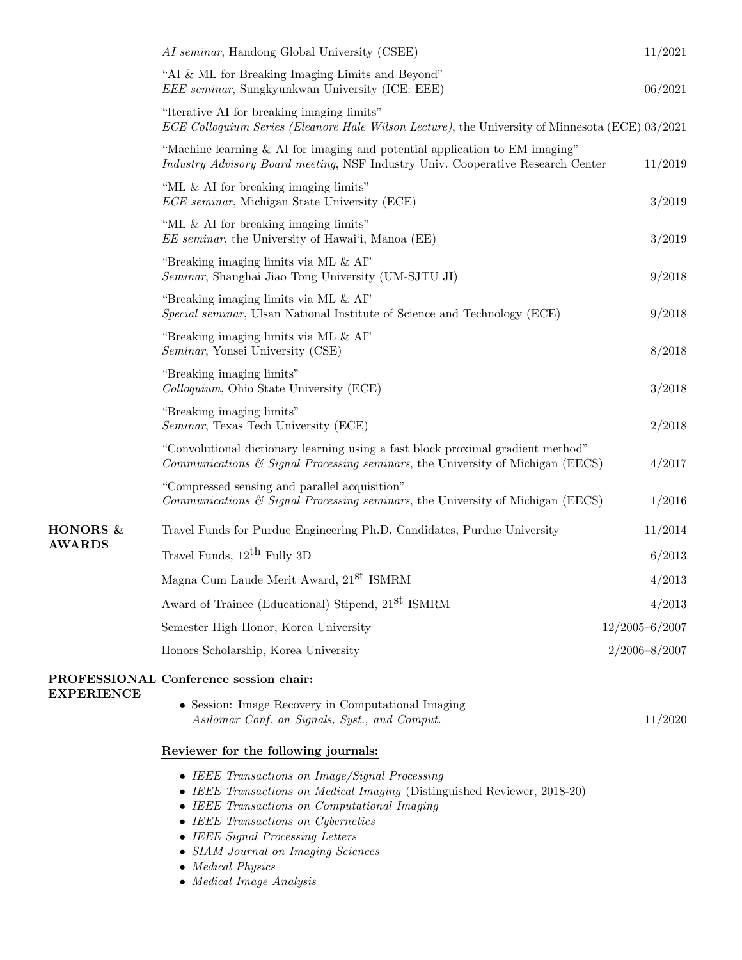|                           | AI seminar, Handong Global University (CSEE)                                                                                                                      | 11/2021            |
|---------------------------|-------------------------------------------------------------------------------------------------------------------------------------------------------------------|--------------------|
|                           | "AI & ML for Breaking Imaging Limits and Beyond"<br><i>EEE seminar</i> , Sungkyunkwan University (ICE: EEE)                                                       | 06/2021            |
|                           | "Iterative AI for breaking imaging limits"<br>ECE Colloquium Series (Eleanore Hale Wilson Lecture), the University of Minnesota (ECE) 03/2021                     |                    |
|                           | "Machine learning $\&$ AI for imaging and potential application to EM imaging"<br>Industry Advisory Board meeting, NSF Industry Univ. Cooperative Research Center | 11/2019            |
|                           | "ML $\&$ AI for breaking imaging limits"<br>ECE seminar, Michigan State University (ECE)                                                                          | 3/2019             |
|                           | "ML $\&$ AI for breaking imaging limits"<br><i>EE seminar</i> , the University of Hawai'i, Mānoa (EE)                                                             | 3/2019             |
|                           | "Breaking imaging limits via ML & AI"<br>Seminar, Shanghai Jiao Tong University (UM-SJTU JI)                                                                      | 9/2018             |
|                           | "Breaking imaging limits via ML & AI"<br>Special seminar, Ulsan National Institute of Science and Technology (ECE)                                                | 9/2018             |
|                           | "Breaking imaging limits via ML & AI"<br>Seminar, Yonsei University (CSE)                                                                                         | 8/2018             |
|                           | "Breaking imaging limits"<br>Colloquium, Ohio State University (ECE)                                                                                              | 3/2018             |
|                           | "Breaking imaging limits"<br><i>Seminar</i> , Texas Tech University (ECE)                                                                                         | 2/2018             |
|                           | "Convolutional dictionary learning using a fast block proximal gradient method"<br>Communications & Signal Processing seminars, the University of Michigan (EECS) | 4/2017             |
|                           | "Compressed sensing and parallel acquisition"<br>Communications & Signal Processing seminars, the University of Michigan (EECS)                                   | 1/2016             |
| HONORS &<br><b>AWARDS</b> | Travel Funds for Purdue Engineering Ph.D. Candidates, Purdue University                                                                                           | 11/2014            |
|                           | Travel Funds, $12^{th}$ Fully 3D                                                                                                                                  | 6/2013             |
|                           | Magna Cum Laude Merit Award, 21 <sup>st</sup> ISMRM                                                                                                               | 4/2013             |
|                           | Award of Trainee (Educational) Stipend, 21 <sup>st</sup> ISMRM                                                                                                    | 4/2013             |
|                           | Semester High Honor, Korea University                                                                                                                             | $12/2005 - 6/2007$ |
|                           | Honors Scholarship, Korea University                                                                                                                              | $2/2006 - 8/2007$  |
|                           | PROFESSIONAL Conference session chair:                                                                                                                            |                    |
| <b>EXPERIENCE</b>         | • Session: Image Recovery in Computational Imaging<br>Asilomar Conf. on Signals, Syst., and Comput.                                                               | 11/2020            |
|                           | Reviewer for the following journals:                                                                                                                              |                    |
|                           | • IEEE Transactions on Image/Signal Processing<br>• IEEE Transactions on Medical Imaging (Distinguished Reviewer, 2018-20)                                        |                    |

- IEEE Transactions on Computational Imaging
- IEEE Transactions on Cybernetics
- IEEE Signal Processing Letters
- SIAM Journal on Imaging Sciences
- $\bullet\$  Medical Physics

• Medical Image Analysis